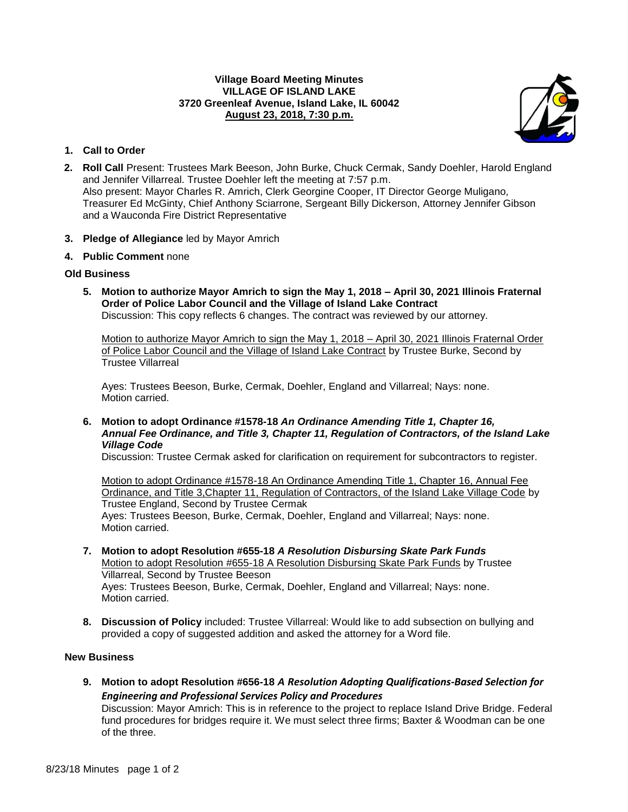### **Village Board Meeting Minutes VILLAGE OF ISLAND LAKE 3720 Greenleaf Avenue, Island Lake, IL 60042 August 23, 2018, 7:30 p.m.**



# **1. Call to Order**

- **2. Roll Call** Present: Trustees Mark Beeson, John Burke, Chuck Cermak, Sandy Doehler, Harold England and Jennifer Villarreal. Trustee Doehler left the meeting at 7:57 p.m. Also present: Mayor Charles R. Amrich, Clerk Georgine Cooper, IT Director George Muligano, Treasurer Ed McGinty, Chief Anthony Sciarrone, Sergeant Billy Dickerson, Attorney Jennifer Gibson and a Wauconda Fire District Representative
- **3. Pledge of Allegiance** led by Mayor Amrich
- **4. Public Comment** none

## **Old Business**

**5. Motion to authorize Mayor Amrich to sign the May 1, 2018 – April 30, 2021 Illinois Fraternal Order of Police Labor Council and the Village of Island Lake Contract** Discussion: This copy reflects 6 changes. The contract was reviewed by our attorney.

Motion to authorize Mayor Amrich to sign the May 1, 2018 – April 30, 2021 Illinois Fraternal Order of Police Labor Council and the Village of Island Lake Contract by Trustee Burke, Second by Trustee Villarreal

Ayes: Trustees Beeson, Burke, Cermak, Doehler, England and Villarreal; Nays: none. Motion carried.

**6. Motion to adopt Ordinance #1578-18** *An Ordinance Amending Title 1, Chapter 16, Annual Fee Ordinance, and Title 3, Chapter 11, Regulation of Contractors, of the Island Lake Village Code*

Discussion: Trustee Cermak asked for clarification on requirement for subcontractors to register.

Motion to adopt Ordinance #1578-18 An Ordinance Amending Title 1, Chapter 16, Annual Fee Ordinance, and Title 3,Chapter 11, Regulation of Contractors, of the Island Lake Village Code by Trustee England, Second by Trustee Cermak Ayes: Trustees Beeson, Burke, Cermak, Doehler, England and Villarreal; Nays: none. Motion carried.

- **7. Motion to adopt Resolution #655-18** *A Resolution Disbursing Skate Park Funds* Motion to adopt Resolution #655-18 A Resolution Disbursing Skate Park Funds by Trustee Villarreal, Second by Trustee Beeson Ayes: Trustees Beeson, Burke, Cermak, Doehler, England and Villarreal; Nays: none. Motion carried.
- **8. Discussion of Policy** included: Trustee Villarreal: Would like to add subsection on bullying and provided a copy of suggested addition and asked the attorney for a Word file.

# **New Business**

**9. Motion to adopt Resolution #656-18** *A Resolution Adopting Qualifications-Based Selection for Engineering and Professional Services Policy and Procedures* Discussion: Mayor Amrich: This is in reference to the project to replace Island Drive Bridge. Federal

fund procedures for bridges require it. We must select three firms; Baxter & Woodman can be one of the three.